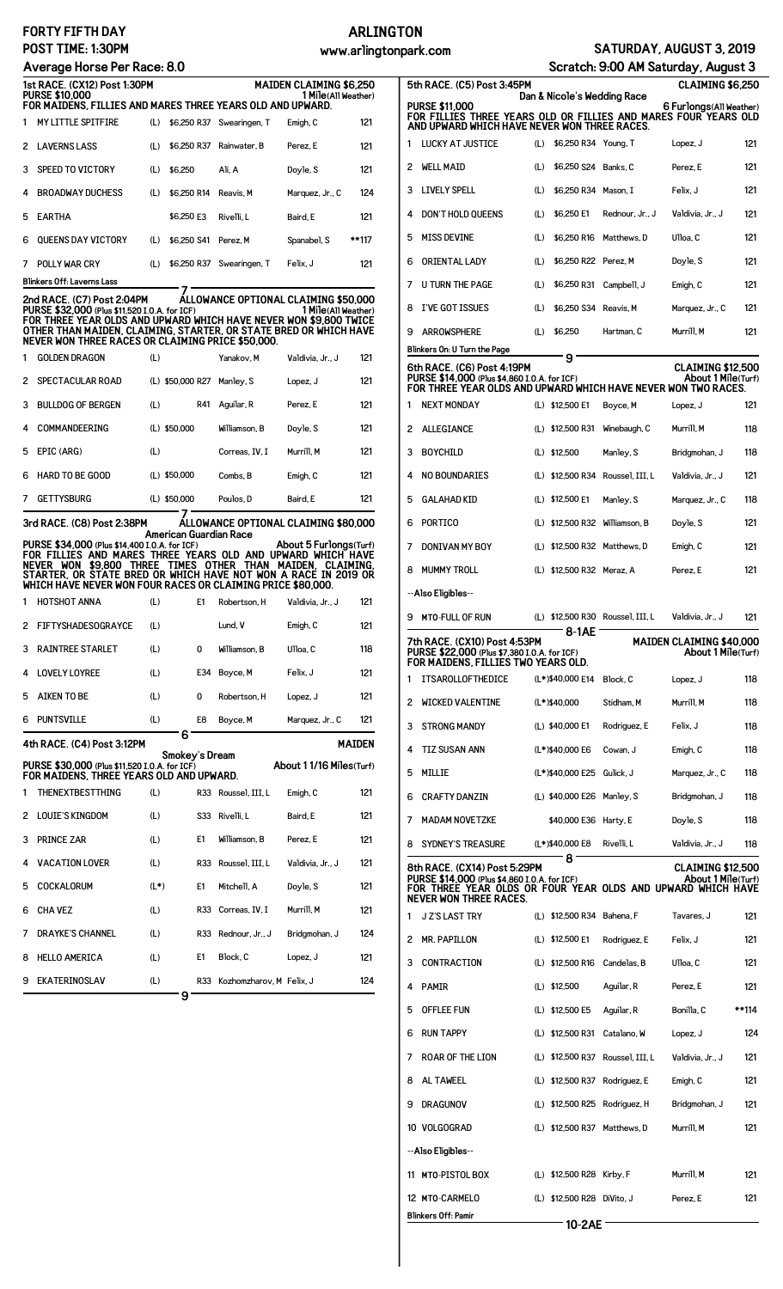### **FORTY FIFTH DAY POST TIME: 1:30PM**

#### **Average Horse Per Race: 8.0**

### **ARLINGTON**

**www.arlingtonpark.com SATURDAY, AUGUST 3, 2019**

## **Scratch: 9:00 AM Saturday, August 3**

| 1st RACE. (CX12) Post 1:30PM<br><b>PURSE \$10,000</b><br>FOR MAIDENS. FILLIES AND MARES THREE YEARS OLD AND UPWARD. |                           |     |             | <b>MAIDEN CLAIMING \$6.250</b><br>1 Mile(All Weather) |                 |       |  |
|---------------------------------------------------------------------------------------------------------------------|---------------------------|-----|-------------|-------------------------------------------------------|-----------------|-------|--|
| 1                                                                                                                   | <b>MY LITTLE SPITFIRE</b> | (L) | \$6,250 R37 | Swearingen, T                                         | Emigh, C        | 121   |  |
| 2                                                                                                                   | <b>LAVERNS LASS</b>       | (L) | \$6,250 R37 | Rainwater, B                                          | Perez. E        | 121   |  |
| 3                                                                                                                   | SPEED TO VICTORY          | (L) | \$6.250     | Ali. A                                                | Doyle, S        | 121   |  |
| 4                                                                                                                   | <b>BROADWAY DUCHESS</b>   | (L) | \$6,250 R14 | Reavis, M                                             | Marquez, Jr., C | 124   |  |
| 5                                                                                                                   | <b>EARTHA</b>             |     | \$6.250 E3  | Rivelli. L                                            | Baird. E        | 121   |  |
| ี                                                                                                                   | <b>OUEENS DAY VICTORY</b> | (L) | \$6,250 S41 | Perez. M                                              | Spanabel, S     | **117 |  |
| 7                                                                                                                   | POLLY WAR CRY             | (L) | \$6,250 R37 | Swearingen, T                                         | Felix. J        | 121   |  |
| Blinkers Off: Laverns Lass                                                                                          |                           |     |             |                                                       |                 |       |  |

**7 2nd RACE. (C7) Post 2:04PM ALLOWANCE OPTIONAL CLAIMING \$50,000** PURSE \$32,000 (Plus \$11,520 I.O.A. for ICF)<br>FOR THREE YEAR OLDS AND UPWARD WHICH HAVE NEVER WON \$9,800 TWICE<br>OTHER THAN MAIDEN, CLAIMING, STARTER, OR STATE BRED OR WHICH HAVE<br>NEVER WON THREE RACES OR CLAIMING PRICE \$50,000

|               | <b>GETTYSBURG</b>        | $(L)$ \$50,000   | Poulos. D      | Baird. E         | 121 |
|---------------|--------------------------|------------------|----------------|------------------|-----|
| 6             | <b>HARD TO BE GOOD</b>   | $(L)$ \$50,000   | Combs. B       | Emigh, C         | 121 |
| 5.            | EPIC (ARG)               | (L)              | Correas. IV. I | Murrill, M       | 121 |
| 4             | <b>COMMANDEERING</b>     | $(L)$ \$50,000   | Williamson, B  | Doyle, S         | 121 |
| 3             | <b>BULLDOG OF BERGEN</b> | (L)<br>R41       | Aquilar, R     | Perez. E         | 121 |
| $\mathcal{P}$ | SPECTACULAR ROAD         | (L) \$50,000 R27 | Manley, S      | Lopez, J         | 121 |
| 1             | <b>GOLDEN DRAGON</b>     | (L)              | Yanakov, M     | Valdivia, Jr., J | 121 |

**7 3rd RACE. (C8) Post 2:38PM ALLOWANCE OPTIONAL CLAIMING \$80,000 American Guardian Race**

PURSE \$34,000 (Plus \$14,400 I.O.A. for ICF) About 5 Furlongs(Turf)<br>FOR FILLIES AND MARES THREE YEARS OLD AND UPWARD WHICH HAVE<br>NEVER WON \$9,800 THREE TIMES OTHER THAN MAIDEN, CLAIMING,<br>STAR

| 1  | <b>HOTSHOT ANNA</b>       | (L) | E1 | Robertson, H  | Valdivia, Jr., J | 121 |
|----|---------------------------|-----|----|---------------|------------------|-----|
| 2  | <b>FIFTYSHADESOGRAYCE</b> | (L) |    | Lund. V       | Emigh, C         | 121 |
| 3  | <b>RAINTREE STARLET</b>   | (L) | 0  | Williamson, B | Ulloa, C         | 118 |
| 4  | <b>LOVELY LOYREE</b>      | (L) |    | E34 Boyce, M  | Felix, J         | 121 |
| 5. | AIKEN TO BE               | (L) | 0  | Robertson, H  | Lopez, J         | 121 |
| 6  | <b>PUNTSVILLE</b>         | (L) | E8 | Boyce, M      | Marquez, Jr., C  | 121 |

**6**

|   | 4th RACE. (C4) Post 3:12PM                                                                | u      |                |                          |                          | <b>MAIDEN</b> |
|---|-------------------------------------------------------------------------------------------|--------|----------------|--------------------------|--------------------------|---------------|
|   | PURSE \$30,000 (Plus \$11,520 I.O.A. for ICF)<br>FOR MAIDENS, THREE YEARS OLD AND UPWARD. |        | Smokey's Dream |                          | About 1 1/16 Miles(Turf) |               |
|   | <b>THENEXTBESTTHING</b>                                                                   | (L)    |                | R33 Roussel, III, L      | Emigh, C                 | 121           |
| 2 | <b>LOUTE'S KINGDOM</b>                                                                    | (L)    | S33            | Rivelli, L               | Baird. E                 | 121           |
| 3 | <b>PRINCE ZAR</b>                                                                         | (L)    | E1             | Williamson, B            | Perez. E                 | 121           |
| 4 | <b>VACATION LOVER</b>                                                                     | (L)    | R33            | Roussel, III.L           | Valdivia, Jr., J         | 121           |
| 5 | COCKALORUM                                                                                | $(L*)$ | E1             | Mitchell, A              | Doyle, S                 | 121           |
| 6 | <b>CHA VEZ</b>                                                                            | (L)    |                | R33 Correas, IV, I       | Murrill, M               | 121           |
| 7 | <b>DRAYKE'S CHANNEL</b>                                                                   | (L)    | R33            | Rednour, Jr., J          | Bridgmohan, J            | 124           |
| 8 | <b>HELLO AMERICA</b>                                                                      | (L)    | E1             | Block. C                 | Lopez, J                 | 121           |
| 9 | <b>EKATERINOSLAV</b>                                                                      | (L)    | R33            | Kozhomzharov, M Felix, J |                          | 124           |
|   |                                                                                           | 9      |                |                          |                          |               |

|                                                                                                                                                                     |                                                                                                                                                                       |     |                                |                                  | Graturi. 0.00 Ani oaturuay, August 0           |       |  |
|---------------------------------------------------------------------------------------------------------------------------------------------------------------------|-----------------------------------------------------------------------------------------------------------------------------------------------------------------------|-----|--------------------------------|----------------------------------|------------------------------------------------|-------|--|
|                                                                                                                                                                     | <b>CLAIMING \$6,250</b><br>5th RACE. (C5) Post 3:45PM<br>Dan & Nicole's Wedding Race                                                                                  |     |                                |                                  |                                                |       |  |
| <b>PURSE \$11,000</b><br>6 Furlongs(All Weather)<br>FOR FILLIES THREE YEARS OLD OR FILLIES AND MARES FOUR YEARS OLD<br>AND UPWARD WHICH HAVE NEVER WON THREE RACES. |                                                                                                                                                                       |     |                                |                                  |                                                |       |  |
| 1                                                                                                                                                                   | <b>LUCKY AT JUSTICE</b>                                                                                                                                               | (L) | \$6,250 R34 Young, T           |                                  | Lopez, J                                       | 121   |  |
| 2                                                                                                                                                                   | <b>WELL MAID</b>                                                                                                                                                      | (L) | \$6,250 S24 Banks, C           |                                  | Perez, E                                       | 121   |  |
| 3                                                                                                                                                                   | <b>LIVELY SPELL</b>                                                                                                                                                   | (L) | \$6,250 R34 Mason, I           |                                  | Felix, J                                       | 121   |  |
| 4                                                                                                                                                                   | <b>DON'T HOLD QUEENS</b>                                                                                                                                              | (L) | \$6,250 E1                     | Rednour, Jr., J                  | Valdivia, Jr., J                               | 121   |  |
| 5                                                                                                                                                                   | <b>MISS DEVINE</b>                                                                                                                                                    | (L) | \$6,250 R16                    | Matthews, D                      | Ulloa, C                                       | 121   |  |
| 6                                                                                                                                                                   | <b>ORIENTAL LADY</b>                                                                                                                                                  | (L) | \$6,250 R22 Perez, M           |                                  | Doyle, S                                       | 121   |  |
| 7                                                                                                                                                                   | <b>U TURN THE PAGE</b>                                                                                                                                                | (L) | \$6,250 R31                    | Campbell, J                      | Emigh, C                                       | 121   |  |
| 8                                                                                                                                                                   | I'VE GOT ISSUES                                                                                                                                                       | (L) | \$6,250 S34 Reavis, M          |                                  | Marquez, Jr., C                                | 121   |  |
| 9                                                                                                                                                                   | <b>ARROWSPHERE</b>                                                                                                                                                    | (L) | \$6,250                        | Hartman, C                       | Murrill. M                                     | 121   |  |
|                                                                                                                                                                     | Blinkers On: U Turn the Page                                                                                                                                          |     | 9                              |                                  |                                                |       |  |
|                                                                                                                                                                     | 6th RACE. (C6) Post 4:19PM<br>PURSE \$14.000 (Plus \$4.860 I.O.A. for ICF)<br>FOR THREE YEAR OLDS AND UPWARD WHICH HAVE NEVER WON TWO RACES.                          |     |                                |                                  | <b>CLAIMING \$12,500</b><br>About 1 Mile(Turf) |       |  |
| 1                                                                                                                                                                   | <b>NEXT MONDAY</b>                                                                                                                                                    |     | (L) \$12,500 E1                | Boyce, M                         | Lopez, J                                       | 121   |  |
| 2                                                                                                                                                                   | ALLEGIANCE                                                                                                                                                            |     | (L) \$12,500 R31               | Winebaugh, C                     | Murrill, M                                     | 118   |  |
| 3                                                                                                                                                                   | <b>BOYCHILD</b>                                                                                                                                                       |     | (L) \$12,500                   | Manley, S                        | Bridgmohan, J                                  | 118   |  |
| 4                                                                                                                                                                   | <b>NO BOUNDARIES</b>                                                                                                                                                  |     |                                | (L) \$12,500 R34 Roussel, III, L | Valdivia, Jr., J                               | 121   |  |
| 5                                                                                                                                                                   | <b>GALAHAD KID</b>                                                                                                                                                    |     | (L) \$12,500 E1                | Manley, S                        | Marquez, Jr., C                                | 118   |  |
| 6                                                                                                                                                                   | <b>PORTICO</b>                                                                                                                                                        |     | (L) \$12,500 R32 Williamson, B |                                  | Doyle, S                                       | 121   |  |
| 7                                                                                                                                                                   | DONIVAN MY BOY                                                                                                                                                        |     | (L) \$12,500 R32 Matthews, D   |                                  | Emigh, C                                       | 121   |  |
| 8                                                                                                                                                                   | <b>MUMMY TROLL</b>                                                                                                                                                    |     | (L) \$12,500 R32 Meraz, A      |                                  | Perez, E                                       | 121   |  |
|                                                                                                                                                                     | --Also Eligibles--                                                                                                                                                    |     |                                |                                  |                                                |       |  |
| 9                                                                                                                                                                   | <b>MTO-FULL OF RUN</b>                                                                                                                                                |     |                                | (L) \$12,500 R30 Roussel, III, L | Valdivia, Jr., J                               | 121   |  |
|                                                                                                                                                                     | 7th RACF. (CX10) Post 4:53PM                                                                                                                                          |     | 8-1AE                          |                                  | MAIDEN CLAIMING \$40.000                       |       |  |
|                                                                                                                                                                     | PURSE \$22,000 (Plus \$7,380 I.O.A. for ICF)<br>FOR MAIDENS. FILLIES TWO YEARS OLD.                                                                                   |     |                                |                                  | About 1 Mile(Turf)                             |       |  |
| 1                                                                                                                                                                   | <b>ITSAROLLOFTHEDICE</b>                                                                                                                                              |     | (L*)\$40,000 E14               | Block, C                         | Lopez, J                                       | 118   |  |
| 2                                                                                                                                                                   | <b>WICKED VALENTINE</b>                                                                                                                                               |     | (L*)\$40,000                   | Stidham, M                       | Murrill, M                                     | 118   |  |
| 3                                                                                                                                                                   | <b>STRONG MANDY</b>                                                                                                                                                   |     | (L) \$40,000 E1                | Rodriguez, E                     | Felix, J                                       | 118   |  |
| 4                                                                                                                                                                   | TIZ SUSAN ANN                                                                                                                                                         |     | (L*)\$40,000 E6                | Cowan, J                         | Emigh, C                                       | 118   |  |
| 5                                                                                                                                                                   | MILLIE                                                                                                                                                                |     | (L*)\$40,000 E25               | Gulick, J                        | Marquez, Jr., C                                | 118   |  |
| 6                                                                                                                                                                   | <b>CRAFTY DANZIN</b>                                                                                                                                                  |     | (L) \$40,000 E26 Manley, S     |                                  | Bridgmohan, J                                  | 118   |  |
| 7                                                                                                                                                                   | <b>MADAM NOVETZKE</b>                                                                                                                                                 |     | \$40,000 E36 Harty, E          |                                  | Doyle, S                                       | 118   |  |
| 8                                                                                                                                                                   | SYDNEY'S TREASURE                                                                                                                                                     |     | (L*)\$40,000 E8                | Rivelli, L                       | Valdivia, Jr., J                               | 118   |  |
|                                                                                                                                                                     | 8th RACE. (CX14) Post 5:29PM<br>PURSE \$14,000 (Plus \$4,860 I.O.A. for ICF)<br>FOR THREE YEAR OLDS OR FOUR YEAR OLDS AND UPWARD WHICH HAVE<br>NEVER WON THREE RACES. |     | 8                              |                                  | <b>CLAIMING \$12,500</b><br>About 1 Mile(Turf) |       |  |
| 1                                                                                                                                                                   | <b>JZ'S LAST TRY</b>                                                                                                                                                  |     | (L) \$12,500 R34 Bahena, F     |                                  | Tavares, J                                     | 121   |  |
| 2                                                                                                                                                                   | MR. PAPILLON                                                                                                                                                          |     | (L) \$12,500 E1                | Rodriguez, E                     | Felix, J                                       | 121   |  |
| 3                                                                                                                                                                   | CONTRACTION                                                                                                                                                           |     | (L) \$12,500 R16               | Candelas, B                      | Ulloa, C                                       | 121   |  |
| 4                                                                                                                                                                   | <b>PAMIR</b>                                                                                                                                                          |     | (L) \$12,500                   | Aguilar, R                       | Perez, E                                       | 121   |  |
| 5                                                                                                                                                                   | <b>OFFLEE FUN</b>                                                                                                                                                     |     | (L) \$12,500 E5                | Aguilar, R                       | Bonilla, C                                     | **114 |  |
| 6                                                                                                                                                                   | <b>RUN TAPPY</b>                                                                                                                                                      |     | (L) \$12,500 R31               | Catalano, W                      | Lopez, J                                       | 124   |  |
| 7                                                                                                                                                                   | <b>ROAR OF THE LION</b>                                                                                                                                               |     | (L) \$12,500 R37               | Roussel, III, L                  | Valdivia, Jr., J                               | 121   |  |
| 8                                                                                                                                                                   | <b>AL TAWEEL</b>                                                                                                                                                      |     | (L) \$12,500 R37 Rodriguez, E  |                                  | Emigh, C                                       | 121   |  |
| 9                                                                                                                                                                   | <b>DRAGUNOV</b>                                                                                                                                                       |     |                                | (L) \$12,500 R25 Rodriguez, H    | Bridgmohan, J                                  | 121   |  |
|                                                                                                                                                                     | 10 VOLGOGRAD                                                                                                                                                          |     |                                | (L) \$12,500 R37 Matthews. D     | Murrill M                                      | 121   |  |

11 **MTO-**PISTOL BOX (L) \$12,500 R28 Kirby, F Murrill, M 121 12 **MTO-**CARMELO (L) \$12,500 R28 DiVito, J Perez, E 121

 $-$ **10-2AE** $-$ 

**--Also Eligibles--**

**Blinkers Off: Pamir**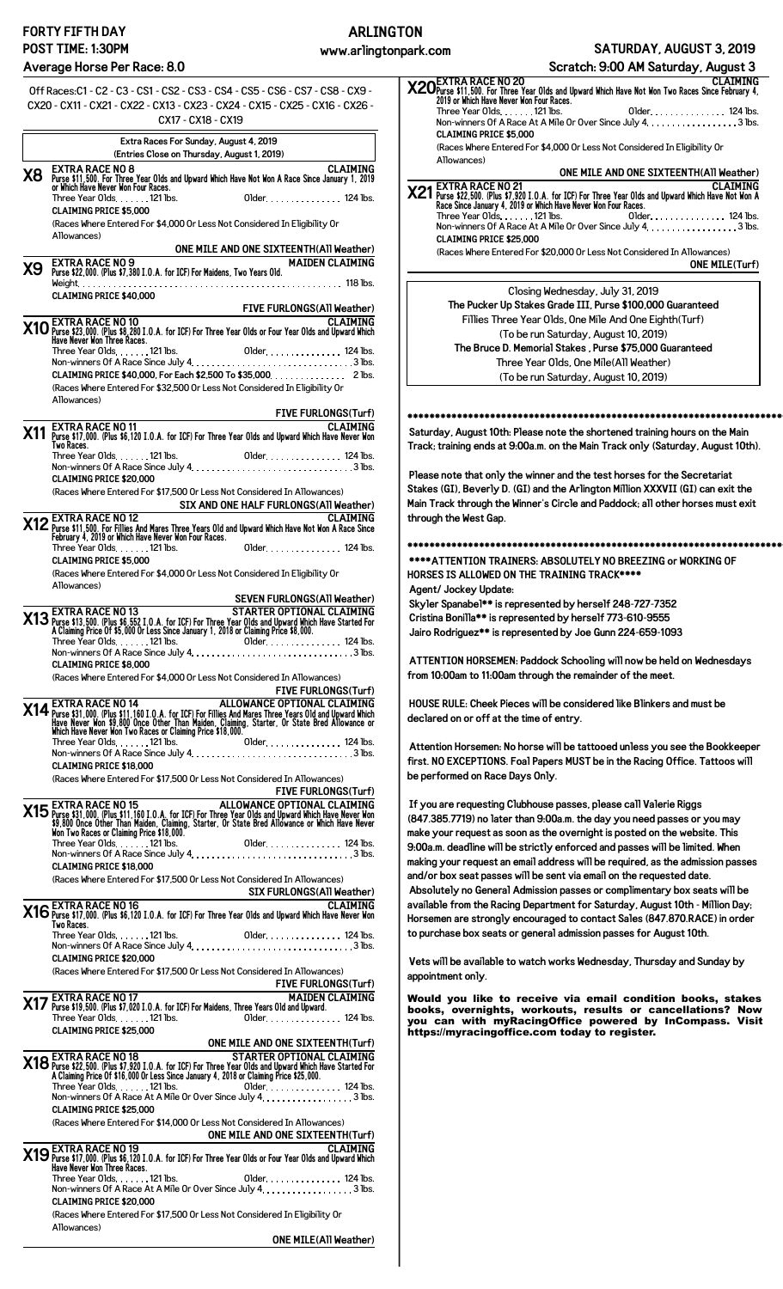# **FORTY FIFTH DAY POST TIME: 1:30PM**

**ARLINGTON**

#### **Average Horse Per Race: 8.0**

**ONE MILE(Turf)**

Off Races:C1 - C2 - C3 - CS1 - CS2 - CS3 - CS4 - CS5 - CS6 - CS7 - CS8 - CX9 - CX20 - CX11 - CX21 - CX22 - CX13 - CX23 - CX24 - CX15 - CX25 - CX16 - CX26 - CX17 - CX18 - CX19 **Extra Races For Sunday, August 4, 2019 (Entries Close on Thursday, August 1, 2019) X8** EXTRA RACE NO 8<br>Purse \$11,500. For Three Year O1ds and Upward Which Have Not Won A Race Since January 1, 2019<br>or Which Have Never Won Four Races. Three Year Olds 121 lbs. Older 124 lbs. **CLAIMING PRICE \$5,000** (Races Where Entered For \$4,000 Or Less Not Considered In Eligibility Or Allowances) **ONE MILE AND ONE SIXTEENTH(All Weather) X9** EXTRA RACE NO 9<br>**X9** Purse \$22,000. (Plus \$7,380 I.O.A. for ICF) For Maidens, Two Years Old. Weight 118 lbs. **CLAIMING PRICE \$40,000 FIVE FURLONGS(All Weather)** CLAIMING<br>MO Purse \$23,000. (Plus \$8,280 I.O.A. for ICF) For Three Year Olds or Four Year Olds and Upward Which<br>Have Never Won Three Races.  $\mathsf{Three\, Year\,0}$ lds.  $\dots \dots \mathsf{121\,lbs}.$  Older  $\dots \dots \dots \dots \mathsf{124\,lbs}.$ Non-winners Of A Race Since July 4.  $\dots\dots\dots\dots\dots\dots\dots\dots\dots$  . . . . . . . . . . . . . 3 lbs. **CLAIMING PRICE \$40,000, For Each \$2,500 To \$35,000 2 lbs.** 2 lbs. (Races Where Entered For \$32,500 Or Less Not Considered In Eligibility Or Allowances) **FIVE FURLONGS(Turf) X11** EXTRA RACE NO 11<br>Purse \$17,000. (Plus \$6,120 I.O.A. for ICF) For Three Year Olds and Upward Which Have Never Won<br>Two Races. Three Year Olds 121 lbs. Older 124 lbs. Non-winners Of A Race Since July 4.  $\dots\dots\dots\dots\dots\dots\dots\dots\dots$  3 lbs. **CLAIMING PRICE \$20,000** (Races Where Entered For \$17,500 Or Less Not Considered In Allowances) **SIX AND ONE HALF FURLONGS(All Weather)** CLAIMING<br>Purse \$11,500. For Fillies And Mares Three Years Old and Upward Which Have Not Won A Race Since<br>February 4, 2019 or Which Have Never Won Four Races. Three Year Olds.  $\dots$  121 lbs.  $\qquad \qquad$  Older  $\dots$   $\dots$   $\dots$  124 lbs. **CLAIMING PRICE \$5,000** (Races Where Entered For \$4,000 Or Less Not Considered In Eligibility Or Allowances) **SEVEN FURLONGS(All Weather)** STARTER OPTIONAL CLAIMING<br>A Claiming Price 9th 5,552 I.O.A. for ICF) For Three Year Olds and Upward Which Have Started For<br>A Claiming Price 0f \$5,000 Or Less Since January 1, 2018 or Claiming Price \$8,000.  $\mathsf{Three\, Year\,0}$ lds.  $\dots \dots \mathsf{121\,lbs}.$  Older  $\dots \dots \dots \dots \mathsf{124\,lbs}.$ Non-winners Of A Race Since July 4.  $\dots\dots\dots\dots\dots\dots\dots\dots\dots$  . . . . . . . . . . . . . 3 lbs. **CLAIMING PRICE \$8,000** (Races Where Entered For \$4,000 Or Less Not Considered In Allowances) **FIVE FURLONGS(Turf) X14** Purse \$31,000. (Plus \$11,160 I.O.A. for ICF) For Fillies And Mares Three Years Old and Upward Which Have New Mayo, 100. (Plus State The State Tree Years Old and Upward Which Have New Meyer Words Other Than Maiden, Cl  $\mathsf{Three\, Year\,0lds}\quad\ldots\quad\mathsf{121\,lbs}\quad\mathsf{Ob}\mathsf{S}.$ Non-winners Of A Race Since July 4 3 lbs. **CLAIMING PRICE \$18,000** (Races Where Entered For \$17,500 Or Less Not Considered In Allowances) **FIVE FURLONGS(Turf) X15** Purse \$31,000. (Plus \$11, 160 I.O.A, for ICF) For Three Year Olds and Upward Which Have Never Won<br>\$9,800 Once Other Than Maiden, Claiming, Starter, Or State Bred Allowance or Which Have Never Won<br>\$9,800 Once Other Th Three Year Olds 121 lbs. Older 124 lbs. Non-winners Of A Race Since July 4 3 lbs. **CLAIMING PRICE \$18,000** (Races Where Entered For \$17,500 Or Less Not Considered In Allow **SIX FURLONGS(All Weather)** CLAIMING<br>Two Races. (Plus \$6,120 I.O.A. for ICF) For Three Year Olds and Upward Which Have Never Won<br>Two Races.  $\mathsf{Three\, Year\,0}$ lds $\ldots \ldots \ldots \ldots \ldots \ldots \ldots \ldots \ldots$ Non-winners Of A Race Since July 4 3 lbs. **CLAIMING PRICE \$20,000** (Races Where Entered For \$17,500 Or Less Not Considered In Allowances) **FIVE FURLONGS(Turf) X17** EXTRA RACE NO 17<br>**X17** Purse \$19,500. (Plus \$7,020 I.O.A. for ICF) For Maidens, Three Years Old and Upward. Three Year Olds 121 lbs. Older 124 lbs. **CLAIMING PRICE \$25,000 ONE MILE AND ONE SIXTEENTH(Turf)** STARTER OPTIONAL CLAIMING<br>A Claiming Price \$7,920 I.O.A. for ICF) For Three Year Olds and Upward Which Have Started For<br>A Claiming Price 0f \$16,000 Or Less Since January 4, 2018 or Claiming Price \$25,000. Three Year Olds 121 lbs. Older 124 lbs. Non-winners Of A Race At A Mile Or Over Since July 4.  $\dots\dots\dots\dots\dots\dots$  3 lbs. **CLAIMING PRICE \$25,000** (Races Where Entered For \$14,000 Or Less Not Considered In Allowances) **ONE MILE AND ONE SIXTEENTH(Turf)** CLAIMING<br>Merse \$17,000. (Plus \$6,120 I.O.A. for ICF) For Three Year Olds or Four Year Olds and Upward Which<br>Have Never Won Three Races. 120 I.O.A. for ICF) For Three Year Olds or Four Year Olds and Upward W Three Year Olds 121 lbs. Older 124 lbs. Non-winners Of A Race At A Mile Or Over Since July  $4, \ldots, \ldots, \ldots, 3$  lbs. **CLAIMING PRICE \$20,000** (Races Where Entered For \$17,500 Or Less Not Considered In Eligibility Or Allowances) CLAIMING<br>MEXTRA RACE NO 20 contribution and Upward Which Have Not Won Two Races Since February 4,<br>2019 or Which Have Never Won Four Races. Three Year Olds 121 lbs. Older 124 lbs. Non-winners Of A Race At A Mile Or Over Since July 4. . . . . . . . . . . . . . . . . 3 lbs. **CLAIMING PRICE \$5,000** (Races Where Entered For \$4,000 Or Less Not Considered In Eligibility Or Allowances) **ONE MILE AND ONE SIXTEENTH(All Weather)** CLAIMING<br>**X21** Purse \$22,500. (Plus \$7,920 I.O.A. for ICF) For Three Year Olds and Upward Which Have Not Won A<br>Race Since January 4, 2019 or Which Have Never Won Four Races. Three Year Olds 121 lbs. Older 124 lbs. Non-winners Of A Race At A Mile Or Over Since July 4. . . . . . . . . . . . . . . . . 3 lbs. **CLAIMING PRICE \$25,000** (Races Where Entered For \$20,000 Or Less Not Considered In Allowances) Closing Wednesday, July 31, 2019 **The Pucker Up Stakes Grade III, Purse \$100,000 Guaranteed** Fillies Three Year Olds, One Mile And One Eighth(Turf) (To be run Saturday, August 10, 2019) **The Bruce D. Memorial Stakes , Purse \$75,000 Guaranteed** Three Year Olds, One Mile(All Weather) (To be run Saturday, August 10, 2019) **\*\*\*\*\*\*\*\*\*\*\*\*\*\*\*\*\*\*\*\*\*\*\*\*\*\*\*\*\*\*\*\*\*\*\*\*\*\*\*\*\*\*\*\*\*\*\*\*\*\*\*\*\*\*\*\*\*\*\*\*\*\*\*\*\*\*\*\*\*\*\* Saturday, August 10th: Please note the shortened training hours on the Main Track; training ends at 9:00a.m. on the Main Track only (Saturday, August 10th). Please note that only the winner and the test horses for the Secretariat Stakes (GI), Beverly D. (GI) and the Arlington Million XXXVII (GI) can exit the Main Track through the Winner's Circle and Paddock; all other horses must exit through the West Gap. \*\*\*\*\*\*\*\*\*\*\*\*\*\*\*\*\*\*\*\*\*\*\*\*\*\*\*\*\*\*\*\*\*\*\*\*\*\*\*\*\*\*\*\*\*\*\*\*\*\*\*\*\*\*\*\*\*\*\*\*\*\*\*\*\*\*\*\*\*\*\* \*\*\*\*ATTENTION TRAINERS: ABSOLUTELY NO BREEZING or WORKING OF HORSES IS ALLOWED ON THE TRAINING TRACK\*\*\*\* Agent/ Jockey Update: Skyler Spanabel\*\* is represented by herself 248-727-7352 Cristina Bonilla\*\* is represented by herself 773-610-9555 Jairo Rodriguez\*\* is represented by Joe Gunn 224-659-1093 ATTENTION HORSEMEN: Paddock Schooling will now be held on Wednesdays from 10:00am to 11:00am through the remainder of the meet. HOUSE RULE: Cheek Pieces will be considered like Blinkers and must be declared on or off at the time of entry. Attention Horsemen: No horse will be tattooed unless you see the Bookkeeper first. NO EXCEPTIONS. Foal Papers MUST be in the Racing Office. Tattoos will be performed on Race Days Only. If you are requesting Clubhouse passes, please call Valerie Riggs (847.385.7719) no later than 9:00a.m. the day you need passes or you may make your request as soon as the overnight is posted on the website. This 9:00a.m. deadline will be strictly enforced and passes will be limited. When making your request an email address will be required, as the admission passes and/or box seat passes will be sent via email on the requested date. Absolutely no General Admission passes or complimentary box seats will be available from the Racing Department for Saturday, August 10th - Million Day; Horsemen are strongly encouraged to contact Sales (847.870.RACE) in order to purchase box seats or general admission passes for August 10th. Vets will be available to watch works Wednesday, Thursday and Sunday by appointment only.** Would you like to receive via email condition books, stakes books, overnights, workouts, results or cancellations? Now you can with myRacingOffice powered by InCompass. Visit <https://myracingoffice.com> today to register. **Scratch: 9:00 AM Saturday, August 3**

**ONE MILE(All Weather)**